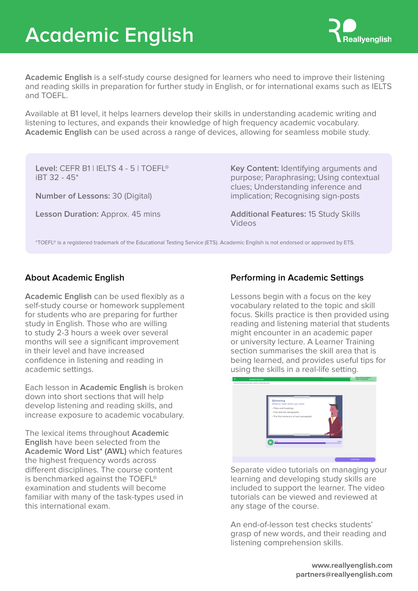# **Academic English**



**Academic English** is a self-study course designed for learners who need to improve their listening and reading skills in preparation for further study in English, or for international exams such as IELTS and TOEFL.

Available at B1 level, it helps learners develop their skills in understanding academic writing and listening to lectures, and expands their knowledge of high frequency academic vocabulary. **Academic English** can be used across a range of devices, allowing for seamless mobile study.

**Level:** CEFR B1 | IELTS 4 - 5 | TOEFL® iBT 32 - 45\*

**Number of Lessons:** 30 (Digital)

**Lesson Duration:** Approx. 45 mins

**Key Content:** Identifying arguments and purpose; Paraphrasing; Using contextual clues; Understanding inference and implication; Recognising sign-posts

**Additional Features:** 15 Study Skills Videos

\*TOEFL® is a registered trademark of the Educational Testing Service (ETS). Academic English is not endorsed or approved by ETS.

**Academic English** can be used flexibly as a self-study course or homework supplement for students who are preparing for further study in English. Those who are willing to study 2-3 hours a week over several months will see a significant improvement in their level and have increased confidence in listening and reading in academic settings.

Each lesson in **Academic English** is broken down into short sections that will help develop listening and reading skills, and increase exposure to academic vocabulary.

The lexical items throughout **Academic English** have been selected from the **Academic Word List\* (AWL)** which features the highest frequency words across different disciplines. The course content is benchmarked against the TOEFL® examination and students will become familiar with many of the task-types used in this international exam.

# **About Academic English Performing in Academic Settings**

Lessons begin with a focus on the key vocabulary related to the topic and skill focus. Skills practice is then provided using reading and listening material that students might encounter in an academic paper or university lecture. A Learner Training section summarises the skill area that is being learned, and provides useful tips for using the skills in a real-life setting.



Separate video tutorials on managing your learning and developing study skills are included to support the learner. The video tutorials can be viewed and reviewed at any stage of the course.

An end-of-lesson test checks students' grasp of new words, and their reading and listening comprehension skills.